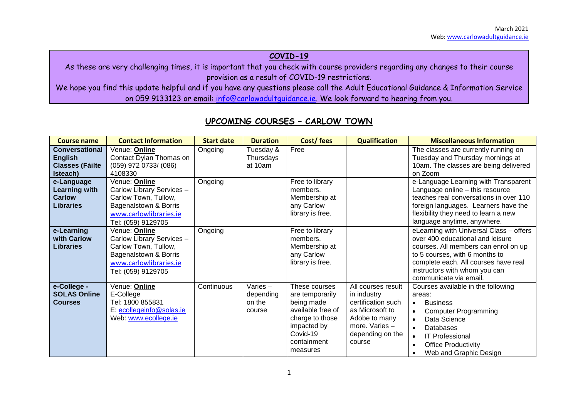### **COVID-19**

As these are very challenging times, it is important that you check with course providers regarding any changes to their course provision as a result of COVID-19 restrictions.

We hope you find this update helpful and if you have any questions please call the Adult Educational Guidance & Information Service on 059 9133123 or email: [info@carlowadultguidance.ie.](mailto:info@carlowadultguidance.ie) We look forward to hearing from you.

| <b>Course name</b>                                                            | <b>Contact Information</b>                                                                                                                         | <b>Start date</b> | <b>Duration</b>                          | Cost/fees                                                                                                                                    | <b>Qualification</b>                                                                                                                          | <b>Miscellaneous Information</b>                                                                                                                                                                                                                                                            |
|-------------------------------------------------------------------------------|----------------------------------------------------------------------------------------------------------------------------------------------------|-------------------|------------------------------------------|----------------------------------------------------------------------------------------------------------------------------------------------|-----------------------------------------------------------------------------------------------------------------------------------------------|---------------------------------------------------------------------------------------------------------------------------------------------------------------------------------------------------------------------------------------------------------------------------------------------|
| <b>Conversational</b><br><b>English</b><br><b>Classes (Fáilte</b><br>Isteach) | Venue: Online<br>Contact Dylan Thomas on<br>$(059)$ 972 0733/ $(086)$<br>4108330                                                                   | Ongoing           | Tuesday &<br>Thursdays<br>at 10am        | Free                                                                                                                                         |                                                                                                                                               | The classes are currently running on<br>Tuesday and Thursday mornings at<br>10am. The classes are being delivered<br>on Zoom                                                                                                                                                                |
| e-Language<br><b>Learning with</b><br><b>Carlow</b><br><b>Libraries</b>       | Venue: Online<br>Carlow Library Services -<br>Carlow Town, Tullow,<br>Bagenalstown & Borris<br>www.carlowlibraries.ie<br>Tel: (059) 9129705        | Ongoing           |                                          | Free to library<br>members.<br>Membership at<br>any Carlow<br>library is free.                                                               |                                                                                                                                               | e-Language Learning with Transparent<br>Language online - this resource<br>teaches real conversations in over 110<br>foreign languages. Learners have the<br>flexibility they need to learn a new<br>language anytime, anywhere.                                                            |
| e-Learning<br>with Carlow<br><b>Libraries</b>                                 | Venue: <b>Online</b><br>Carlow Library Services -<br>Carlow Town, Tullow,<br>Bagenalstown & Borris<br>www.carlowlibraries.ie<br>Tel: (059) 9129705 | Ongoing           |                                          | Free to library<br>members.<br>Membership at<br>any Carlow<br>library is free.                                                               |                                                                                                                                               | eLearning with Universal Class - offers<br>over 400 educational and leisure<br>courses. All members can enrol on up<br>to 5 courses, with 6 months to<br>complete each. All courses have real<br>instructors with whom you can<br>communicate via email.                                    |
| e-College -<br><b>SOLAS Online</b><br><b>Courses</b>                          | Venue: Online<br>E-College<br>Tel: 1800 855831<br>E: ecollegeinfo@solas.ie<br>Web: www.ecollege.ie                                                 | Continuous        | Varies-<br>depending<br>on the<br>course | These courses<br>are temporarily<br>being made<br>available free of<br>charge to those<br>impacted by<br>Covid-19<br>containment<br>measures | All courses result<br>in industry<br>certification such<br>as Microsoft to<br>Adobe to many<br>more. Varies $-$<br>depending on the<br>course | Courses available in the following<br>areas:<br><b>Business</b><br>$\bullet$<br><b>Computer Programming</b><br>$\bullet$<br>Data Science<br>$\bullet$<br>Databases<br>$\bullet$<br><b>IT Professional</b><br>$\bullet$<br><b>Office Productivity</b><br>$\bullet$<br>Web and Graphic Design |

## **UPCOMING COURSES – CARLOW TOWN**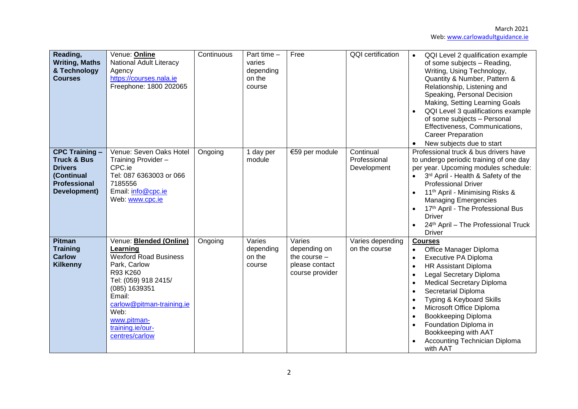| Reading,<br><b>Writing, Maths</b><br>& Technology<br><b>Courses</b>                                                    | Venue: Online<br><b>National Adult Literacy</b><br>Agency<br>https://courses.nala.ie<br>Freephone: 1800 202065                                                                                                                               | Continuous | Part time -<br>varies<br>depending<br>on the<br>course | Free                                                                          | <b>QQI</b> certification                 | QQI Level 2 qualification example<br>$\bullet$<br>of some subjects - Reading,<br>Writing, Using Technology,<br>Quantity & Number, Pattern &<br>Relationship, Listening and<br>Speaking, Personal Decision<br>Making, Setting Learning Goals<br>QQI Level 3 qualifications example<br>of some subjects - Personal<br>Effectiveness, Communications,<br><b>Career Preparation</b><br>New subjects due to start |
|------------------------------------------------------------------------------------------------------------------------|----------------------------------------------------------------------------------------------------------------------------------------------------------------------------------------------------------------------------------------------|------------|--------------------------------------------------------|-------------------------------------------------------------------------------|------------------------------------------|--------------------------------------------------------------------------------------------------------------------------------------------------------------------------------------------------------------------------------------------------------------------------------------------------------------------------------------------------------------------------------------------------------------|
| <b>CPC Training -</b><br><b>Truck &amp; Bus</b><br><b>Drivers</b><br>(Continual<br><b>Professional</b><br>Development) | Venue: Seven Oaks Hotel<br>Training Provider -<br>CPC.ie<br>Tel: 087 6363003 or 066<br>7185556<br>Email: info@cpc.ie<br>Web: www.cpc.ie                                                                                                      | Ongoing    | 1 day per<br>module                                    | €59 per module                                                                | Continual<br>Professional<br>Development | Professional truck & bus drivers have<br>to undergo periodic training of one day<br>per year. Upcoming modules schedule:<br>3rd April - Health & Safety of the<br><b>Professional Driver</b><br>11 <sup>th</sup> April - Minimising Risks &<br><b>Managing Emergencies</b><br>17th April - The Professional Bus<br><b>Driver</b><br>24th April - The Professional Truck<br><b>Driver</b>                     |
| <b>Pitman</b><br><b>Training</b><br><b>Carlow</b><br>Kilkenny                                                          | Venue: Blended (Online)<br>Learning<br><b>Wexford Road Business</b><br>Park, Carlow<br>R93 K260<br>Tel: (059) 918 2415/<br>(085) 1639351<br>Email:<br>carlow@pitman-training.ie<br>Web:<br>www.pitman-<br>training.ie/our-<br>centres/carlow | Ongoing    | Varies<br>depending<br>on the<br>course                | Varies<br>depending on<br>the course $-$<br>please contact<br>course provider | Varies depending<br>on the course        | <b>Courses</b><br>Office Manager Diploma<br>Executive PA Diploma<br><b>HR Assistant Diploma</b><br><b>Legal Secretary Diploma</b><br><b>Medical Secretary Diploma</b><br>Secretarial Diploma<br>Typing & Keyboard Skills<br>Microsoft Office Diploma<br>Bookkeeping Diploma<br>Foundation Diploma in<br>Bookkeeping with AAT<br>Accounting Technician Diploma<br>with AAT                                    |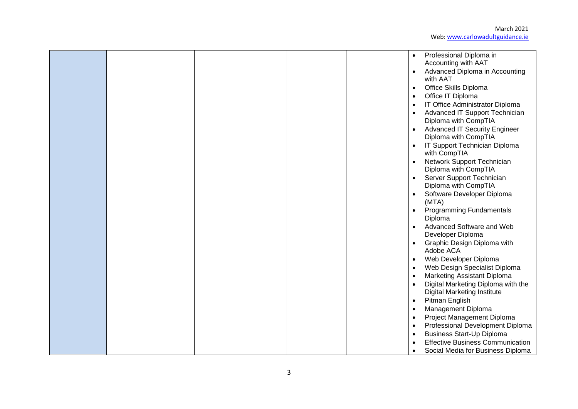March 2021 Web[: www.carlowadultguidance.ie](http://www.carlowadultguidance.ie/)

|  |  |  | $\bullet$<br>$\bullet$<br>$\bullet$<br>$\bullet$ | Professional Diploma in<br>Accounting with AAT<br>Advanced Diploma in Accounting<br>with AAT<br>Office Skills Diploma<br>Office IT Diploma<br>IT Office Administrator Diploma<br>Advanced IT Support Technician<br>Diploma with CompTIA<br><b>Advanced IT Security Engineer</b><br>Diploma with CompTIA<br>IT Support Technician Diploma<br>with CompTIA<br>Network Support Technician<br>Diploma with CompTIA<br>Server Support Technician<br>Diploma with CompTIA<br>Software Developer Diploma<br>(MTA)<br><b>Programming Fundamentals</b><br>Diploma<br>Advanced Software and Web<br>Developer Diploma<br>Graphic Design Diploma with |
|--|--|--|--------------------------------------------------|-------------------------------------------------------------------------------------------------------------------------------------------------------------------------------------------------------------------------------------------------------------------------------------------------------------------------------------------------------------------------------------------------------------------------------------------------------------------------------------------------------------------------------------------------------------------------------------------------------------------------------------------|
|  |  |  |                                                  |                                                                                                                                                                                                                                                                                                                                                                                                                                                                                                                                                                                                                                           |
|  |  |  |                                                  |                                                                                                                                                                                                                                                                                                                                                                                                                                                                                                                                                                                                                                           |
|  |  |  |                                                  |                                                                                                                                                                                                                                                                                                                                                                                                                                                                                                                                                                                                                                           |
|  |  |  |                                                  |                                                                                                                                                                                                                                                                                                                                                                                                                                                                                                                                                                                                                                           |
|  |  |  |                                                  |                                                                                                                                                                                                                                                                                                                                                                                                                                                                                                                                                                                                                                           |
|  |  |  |                                                  | Adobe ACA                                                                                                                                                                                                                                                                                                                                                                                                                                                                                                                                                                                                                                 |
|  |  |  |                                                  | Web Developer Diploma                                                                                                                                                                                                                                                                                                                                                                                                                                                                                                                                                                                                                     |
|  |  |  |                                                  | Web Design Specialist Diploma                                                                                                                                                                                                                                                                                                                                                                                                                                                                                                                                                                                                             |
|  |  |  |                                                  | <b>Marketing Assistant Diploma</b>                                                                                                                                                                                                                                                                                                                                                                                                                                                                                                                                                                                                        |
|  |  |  |                                                  | Digital Marketing Diploma with the<br><b>Digital Marketing Institute</b>                                                                                                                                                                                                                                                                                                                                                                                                                                                                                                                                                                  |
|  |  |  | $\bullet$                                        | Pitman English                                                                                                                                                                                                                                                                                                                                                                                                                                                                                                                                                                                                                            |
|  |  |  | $\bullet$                                        | Management Diploma                                                                                                                                                                                                                                                                                                                                                                                                                                                                                                                                                                                                                        |
|  |  |  | $\bullet$                                        | Project Management Diploma                                                                                                                                                                                                                                                                                                                                                                                                                                                                                                                                                                                                                |
|  |  |  | $\bullet$                                        | Professional Development Diploma                                                                                                                                                                                                                                                                                                                                                                                                                                                                                                                                                                                                          |
|  |  |  |                                                  | <b>Business Start-Up Diploma</b>                                                                                                                                                                                                                                                                                                                                                                                                                                                                                                                                                                                                          |
|  |  |  |                                                  | <b>Effective Business Communication</b>                                                                                                                                                                                                                                                                                                                                                                                                                                                                                                                                                                                                   |
|  |  |  |                                                  | Social Media for Business Diploma                                                                                                                                                                                                                                                                                                                                                                                                                                                                                                                                                                                                         |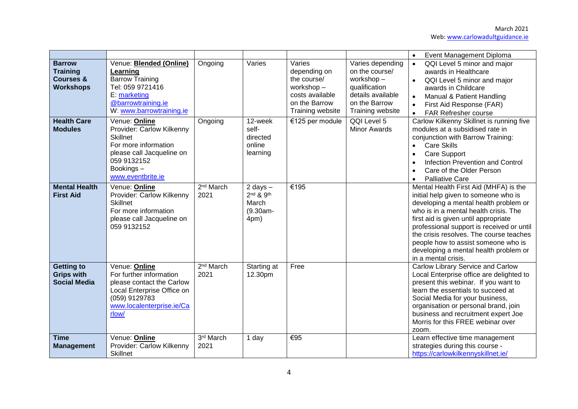|                                                                              |                                                                                                                                                                            |                               |                                                             |                                                                                                            |                                                                                                                            | Event Management Diploma                                                                                                                                                                                                                                                                                                                                                                               |
|------------------------------------------------------------------------------|----------------------------------------------------------------------------------------------------------------------------------------------------------------------------|-------------------------------|-------------------------------------------------------------|------------------------------------------------------------------------------------------------------------|----------------------------------------------------------------------------------------------------------------------------|--------------------------------------------------------------------------------------------------------------------------------------------------------------------------------------------------------------------------------------------------------------------------------------------------------------------------------------------------------------------------------------------------------|
| <b>Barrow</b><br><b>Training</b><br><b>Courses &amp;</b><br><b>Workshops</b> | Venue: <b>Blended (Online)</b><br>Learning<br><b>Barrow Training</b><br>Tel: 059 9721416<br>E: marketing<br>@barrowtraining.ie<br>W: www.barrowtraining.ie                 | Ongoing                       | Varies                                                      | Varies<br>depending on<br>the course/<br>workshop-<br>costs available<br>on the Barrow<br>Training website | Varies depending<br>on the course/<br>workshop-<br>qualification<br>details available<br>on the Barrow<br>Training website | QQI Level 5 minor and major<br>$\bullet$<br>awards in Healthcare<br>QQI Level 5 minor and major<br>$\bullet$<br>awards in Childcare<br>Manual & Patient Handling<br>$\bullet$<br>First Aid Response (FAR)<br>$\bullet$<br><b>FAR Refresher course</b><br>$\bullet$                                                                                                                                     |
| <b>Health Care</b><br><b>Modules</b>                                         | Venue: <b>Online</b><br>Provider: Carlow Kilkenny<br><b>Skillnet</b><br>For more information<br>please call Jacqueline on<br>059 9132152<br>Bookings-<br>www.eventbrite.ie | Ongoing                       | 12-week<br>self-<br>directed<br>online<br>learning          | €125 per module                                                                                            | QQI Level 5<br><b>Minor Awards</b>                                                                                         | Carlow Kilkenny Skillnet is running five<br>modules at a subsidised rate in<br>conjunction with Barrow Training:<br><b>Care Skills</b><br><b>Care Support</b><br><b>Infection Prevention and Control</b><br>Care of the Older Person<br><b>Palliative Care</b>                                                                                                                                         |
| <b>Mental Health</b><br><b>First Aid</b>                                     | Venue: Online<br>Provider: Carlow Kilkenny<br>Skillnet<br>For more information<br>please call Jacqueline on<br>059 9132152                                                 | 2 <sup>nd</sup> March<br>2021 | 2 days $-$<br>$2nd$ & $9th$<br>March<br>$(9.30am -$<br>4pm) | €195                                                                                                       |                                                                                                                            | Mental Health First Aid (MHFA) is the<br>initial help given to someone who is<br>developing a mental health problem or<br>who is in a mental health crisis. The<br>first aid is given until appropriate<br>professional support is received or until<br>the crisis resolves. The course teaches<br>people how to assist someone who is<br>developing a mental health problem or<br>in a mental crisis. |
| <b>Getting to</b><br><b>Grips with</b><br><b>Social Media</b>                | Venue: Online<br>For further information<br>please contact the Carlow<br>Local Enterprise Office on<br>(059) 9129783<br>www.localenterprise.ie/Ca<br>rlow/                 | 2 <sup>nd</sup> March<br>2021 | Starting at<br>12.30pm                                      | Free                                                                                                       |                                                                                                                            | <b>Carlow Library Service and Carlow</b><br>Local Enterprise office are delighted to<br>present this webinar. If you want to<br>learn the essentials to succeed at<br>Social Media for your business,<br>organisation or personal brand, join<br>business and recruitment expert Joe<br>Morris for this FREE webinar over<br>zoom.                                                                     |
| <b>Time</b><br><b>Management</b>                                             | Venue: Online<br>Provider: Carlow Kilkenny<br><b>Skillnet</b>                                                                                                              | 3rd March<br>2021             | 1 day                                                       | €95                                                                                                        |                                                                                                                            | Learn effective time management<br>strategies during this course -<br>https://carlowkilkennyskillnet.ie/                                                                                                                                                                                                                                                                                               |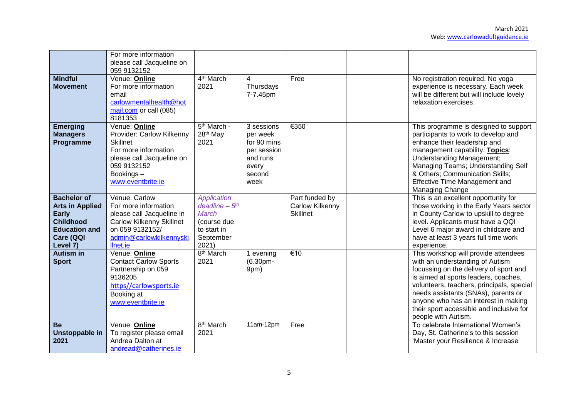|                                                                                                                                   | For more information<br>please call Jacqueline on<br>059 9132152                                                                                                    |                                                                                                            |                                                                                             |                                                      |                                                                                                                                                                                                                                                                                                                                                          |
|-----------------------------------------------------------------------------------------------------------------------------------|---------------------------------------------------------------------------------------------------------------------------------------------------------------------|------------------------------------------------------------------------------------------------------------|---------------------------------------------------------------------------------------------|------------------------------------------------------|----------------------------------------------------------------------------------------------------------------------------------------------------------------------------------------------------------------------------------------------------------------------------------------------------------------------------------------------------------|
| <b>Mindful</b><br><b>Movement</b>                                                                                                 | Venue: Online<br>For more information<br>email<br>carlowmentalhealth@hot<br>mail.com or call (085)<br>8181353                                                       | 4 <sup>th</sup> March<br>2021                                                                              | 4<br>Thursdays<br>7-7.45pm                                                                  | Free                                                 | No registration required. No yoga<br>experience is necessary. Each week<br>will be different but will include lovely<br>relaxation exercises.                                                                                                                                                                                                            |
| <b>Emerging</b><br><b>Managers</b><br>Programme                                                                                   | Venue: Online<br>Provider: Carlow Kilkenny<br><b>Skillnet</b><br>For more information<br>please call Jacqueline on<br>059 9132152<br>Bookings-<br>www.eventbrite.ie | 5 <sup>th</sup> March -<br>28 <sup>th</sup> May<br>2021                                                    | 3 sessions<br>per week<br>for 90 mins<br>per session<br>and runs<br>every<br>second<br>week | €350                                                 | This programme is designed to support<br>participants to work to develop and<br>enhance their leadership and<br>management capability. Topics:<br><b>Understanding Management;</b><br>Managing Teams; Understanding Self<br>& Others; Communication Skills;<br><b>Effective Time Management and</b><br>Managing Change                                   |
| <b>Bachelor of</b><br><b>Arts in Applied</b><br><b>Early</b><br><b>Childhood</b><br><b>Education and</b><br>Care (QQI<br>Level 7) | Venue: Carlow<br>For more information<br>please call Jacqueline in<br><b>Carlow Kilkenny Skillnet</b><br>on 059 9132152/<br>admin@carlowkilkennyski<br>llnet.ie     | <b>Application</b><br>$deadline - 5th$<br><b>March</b><br>(course due<br>to start in<br>September<br>2021) |                                                                                             | Part funded by<br>Carlow Kilkenny<br><b>Skillnet</b> | This is an excellent opportunity for<br>those working in the Early Years sector<br>in County Carlow to upskill to degree<br>level. Applicants must have a QQI<br>Level 6 major award in childcare and<br>have at least 3 years full time work<br>experience.                                                                                             |
| <b>Autism in</b><br><b>Sport</b>                                                                                                  | Venue: Online<br><b>Contact Carlow Sports</b><br>Partnership on 059<br>9136205<br>https//carlowsports.ie<br>Booking at<br>www.eventbrite.ie                         | 8 <sup>th</sup> March<br>2021                                                                              | 1 evening<br>$(6.30pm -$<br>9pm)                                                            | €10                                                  | This workshop will provide attendees<br>with an understanding of Autism<br>focussing on the delivery of sport and<br>is aimed at sports leaders, coaches,<br>volunteers, teachers, principals, special<br>needs assistants (SNAs), parents or<br>anyone who has an interest in making<br>their sport accessible and inclusive for<br>people with Autism. |
| <b>Be</b><br>Unstoppable in<br>2021                                                                                               | Venue: Online<br>To register please email<br>Andrea Dalton at<br>andread@catherines.ie                                                                              | 8 <sup>th</sup> March<br>2021                                                                              | 11am-12pm                                                                                   | Free                                                 | To celebrate International Women's<br>Day, St. Catherine's to this session<br>'Master your Resilience & Increase                                                                                                                                                                                                                                         |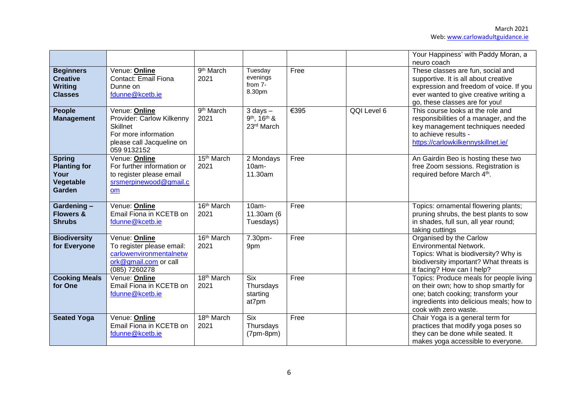|                                                                         |                                                                                                                                   |                                |                                              |      |             | Your Happiness' with Paddy Moran, a<br>neuro coach                                                                                                                                               |
|-------------------------------------------------------------------------|-----------------------------------------------------------------------------------------------------------------------------------|--------------------------------|----------------------------------------------|------|-------------|--------------------------------------------------------------------------------------------------------------------------------------------------------------------------------------------------|
| <b>Beginners</b><br><b>Creative</b><br><b>Writing</b><br><b>Classes</b> | Venue: Online<br>Contact: Email Fiona<br>Dunne on<br>fdunne@kcetb.ie                                                              | 9 <sup>th</sup> March<br>2021  | Tuesday<br>evenings<br>from 7-<br>8.30pm     | Free |             | These classes are fun, social and<br>supportive. It is all about creative<br>expression and freedom of voice. If you<br>ever wanted to give creative writing a<br>go, these classes are for you! |
| <b>People</b><br><b>Management</b>                                      | Venue: Online<br>Provider: Carlow Kilkenny<br><b>Skillnet</b><br>For more information<br>please call Jacqueline on<br>059 9132152 | 9 <sup>th</sup> March<br>2021  | $3$ days $-$<br>9th, 16th &<br>23rd March    | €395 | QQI Level 6 | This course looks at the role and<br>responsibilities of a manager, and the<br>key management techniques needed<br>to achieve results -<br>https://carlowkilkennyskillnet.ie/                    |
| <b>Spring</b><br><b>Planting for</b><br>Your<br>Vegetable<br>Garden     | Venue: Online<br>For further information or<br>to register please email<br>srsmerpinewood@gmail.c<br>om                           | 15 <sup>th</sup> March<br>2021 | 2 Mondays<br>$10am -$<br>11.30am             | Free |             | An Gairdin Beo is hosting these two<br>free Zoom sessions. Registration is<br>required before March 4th.                                                                                         |
| Gardening-<br><b>Flowers &amp;</b><br><b>Shrubs</b>                     | Venue: Online<br>Email Fiona in KCETB on<br>fdunne@kcetb.ie                                                                       | 16th March<br>2021             | $10am -$<br>11.30am (6<br>Tuesdays)          | Free |             | Topics: ornamental flowering plants;<br>pruning shrubs, the best plants to sow<br>in shades, full sun, all year round;<br>taking cuttings                                                        |
| <b>Biodiversity</b><br>for Everyone                                     | Venue: Online<br>To register please email:<br>carlowenvironmentalnetw<br>ork@gmail.com or call<br>(085) 7260278                   | 16th March<br>2021             | 7.30pm-<br>9pm                               | Free |             | Organised by the Carlow<br><b>Environmental Network.</b><br>Topics: What is biodiversity? Why is<br>biodiversity important? What threats is<br>it facing? How can I help?                        |
| <b>Cooking Meals</b><br>for One                                         | Venue: Online<br>Email Fiona in KCETB on<br>fdunne@kcetb.ie                                                                       | 18th March<br>2021             | <b>Six</b><br>Thursdays<br>starting<br>at7pm | Free |             | Topics: Produce meals for people living<br>on their own; how to shop smartly for<br>one; batch cooking; transform your<br>ingredients into delicious meals; how to<br>cook with zero waste.      |
| <b>Seated Yoga</b>                                                      | Venue: Online<br>Email Fiona in KCETB on<br>fdunne@kcetb.ie                                                                       | 18th March<br>2021             | <b>Six</b><br>Thursdays<br>$(7pm-8pm)$       | Free |             | Chair Yoga is a general term for<br>practices that modify yoga poses so<br>they can be done while seated. It<br>makes yoga accessible to everyone.                                               |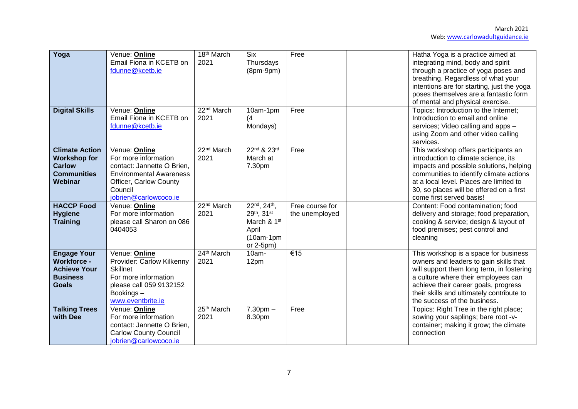| Yoga                                                                                               | Venue: Online<br>Email Fiona in KCETB on<br>fdunne@kcetb.ie                                                                                                         | 18th March<br>2021             | <b>Six</b><br>Thursdays<br>$(8pm-9pm)$                                                     | Free                              | Hatha Yoga is a practice aimed at<br>integrating mind, body and spirit<br>through a practice of yoga poses and<br>breathing. Regardless of what your<br>intentions are for starting, just the yoga<br>poses themselves are a fantastic form<br>of mental and physical exercise.          |
|----------------------------------------------------------------------------------------------------|---------------------------------------------------------------------------------------------------------------------------------------------------------------------|--------------------------------|--------------------------------------------------------------------------------------------|-----------------------------------|------------------------------------------------------------------------------------------------------------------------------------------------------------------------------------------------------------------------------------------------------------------------------------------|
| <b>Digital Skills</b>                                                                              | Venue: Online<br>Email Fiona in KCETB on<br>fdunne@kcetb.ie                                                                                                         | 22 <sup>nd</sup> March<br>2021 | 10am-1pm<br>(4<br>Mondays)                                                                 | Free                              | Topics: Introduction to the Internet;<br>Introduction to email and online<br>services; Video calling and apps -<br>using Zoom and other video calling<br>services.                                                                                                                       |
| <b>Climate Action</b><br><b>Workshop for</b><br><b>Carlow</b><br><b>Communities</b><br>Webinar     | Venue: Online<br>For more information<br>contact: Jannette O Brien,<br><b>Environmental Awareness</b><br>Officer, Carlow County<br>Council<br>jobrien@carlowcoco.ie | 22 <sup>nd</sup> March<br>2021 | 22nd & 23rd<br>March at<br>7.30pm                                                          | Free                              | This workshop offers participants an<br>introduction to climate science, its<br>impacts and possible solutions, helping<br>communities to identify climate actions<br>at a local level. Places are limited to<br>30, so places will be offered on a first<br>come first served basis!    |
| <b>HACCP Food</b><br><b>Hygiene</b><br><b>Training</b>                                             | Venue: Online<br>For more information<br>please call Sharon on 086<br>0404053                                                                                       | 22 <sup>nd</sup> March<br>2021 | 22nd, 24th,<br>29th, 31st<br>March & 1 <sup>st</sup><br>April<br>$(10am-1pm)$<br>or 2-5pm) | Free course for<br>the unemployed | Content: Food contamination; food<br>delivery and storage; food preparation,<br>cooking & service; design & layout of<br>food premises; pest control and<br>cleaning                                                                                                                     |
| <b>Engage Your</b><br><b>Workforce -</b><br><b>Achieve Your</b><br><b>Business</b><br><b>Goals</b> | Venue: Online<br>Provider: Carlow Kilkenny<br><b>Skillnet</b><br>For more information<br>please call 059 9132152<br>Bookings-<br>www.eventbrite.ie                  | 24th March<br>2021             | $10am -$<br>12pm                                                                           | €15                               | This workshop is a space for business<br>owners and leaders to gain skills that<br>will support them long term, in fostering<br>a culture where their employees can<br>achieve their career goals, progress<br>their skills and ultimately contribute to<br>the success of the business. |
| <b>Talking Trees</b><br>with Dee                                                                   | Venue: Online<br>For more information<br>contact: Jannette O Brien,<br><b>Carlow County Council</b><br>jobrien@carlowcoco.ie                                        | 25 <sup>th</sup> March<br>2021 | $7.30pm -$<br>8.30pm                                                                       | Free                              | Topics: Right Tree in the right place;<br>sowing your saplings; bare root -v-<br>container; making it grow; the climate<br>connection                                                                                                                                                    |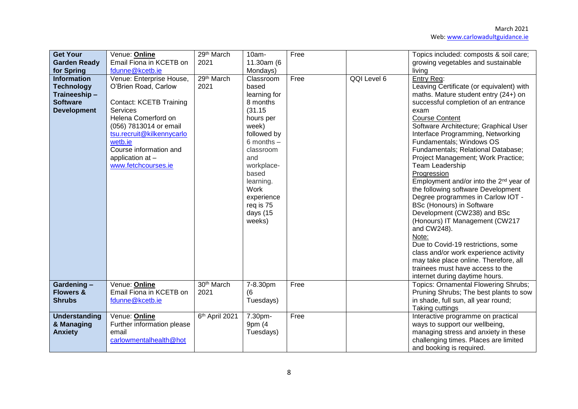| <b>Get Your</b><br><b>Garden Ready</b><br>for Spring                                             | Venue: Online<br>Email Fiona in KCETB on<br>fdunne@kcetb.ie                                                                                                                                                                                                         | 29th March<br>2021             | 10am-<br>11.30am (6<br>Mondays)                                                                                                                                                                                                 | Free |             | Topics included: composts & soil care;<br>growing vegetables and sustainable<br>living                                                                                                                                                                                                                                                                                                                                                                                                                                                                                                                                                                                                                                                                                                                                                                             |
|--------------------------------------------------------------------------------------------------|---------------------------------------------------------------------------------------------------------------------------------------------------------------------------------------------------------------------------------------------------------------------|--------------------------------|---------------------------------------------------------------------------------------------------------------------------------------------------------------------------------------------------------------------------------|------|-------------|--------------------------------------------------------------------------------------------------------------------------------------------------------------------------------------------------------------------------------------------------------------------------------------------------------------------------------------------------------------------------------------------------------------------------------------------------------------------------------------------------------------------------------------------------------------------------------------------------------------------------------------------------------------------------------------------------------------------------------------------------------------------------------------------------------------------------------------------------------------------|
| <b>Information</b><br><b>Technology</b><br>Traineeship-<br><b>Software</b><br><b>Development</b> | Venue: Enterprise House,<br>O'Brien Road, Carlow<br><b>Contact: KCETB Training</b><br><b>Services</b><br>Helena Comerford on<br>(056) 7813014 or email<br>tsu.recruit@kilkennycarlo<br>wetb.ie<br>Course information and<br>application at -<br>www.fetchcourses.ie | 29th March<br>2021             | Classroom<br>based<br>learning for<br>8 months<br>(31.15)<br>hours per<br>week)<br>followed by<br>6 months $-$<br>classroom<br>and<br>workplace-<br>based<br>learning.<br>Work<br>experience<br>req is 75<br>days (15<br>weeks) | Free | QQI Level 6 | Entry Req:<br>Leaving Certificate (or equivalent) with<br>maths. Mature student entry (24+) on<br>successful completion of an entrance<br>exam<br><b>Course Content</b><br>Software Architecture; Graphical User<br>Interface Programming, Networking<br>Fundamentals; Windows OS<br>Fundamentals; Relational Database;<br>Project Management; Work Practice;<br><b>Team Leadership</b><br>Progression<br>Employment and/or into the 2 <sup>nd</sup> year of<br>the following software Development<br>Degree programmes in Carlow IOT -<br><b>BSc (Honours) in Software</b><br>Development (CW238) and BSc<br>(Honours) IT Management (CW217<br>and CW248).<br>Note:<br>Due to Covid-19 restrictions, some<br>class and/or work experience activity<br>may take place online. Therefore, all<br>trainees must have access to the<br>internet during daytime hours. |
| Gardening-<br><b>Flowers &amp;</b><br><b>Shrubs</b>                                              | Venue: Online<br>Email Fiona in KCETB on<br>fdunne@kcetb.ie                                                                                                                                                                                                         | 30 <sup>th</sup> March<br>2021 | 7-8.30pm<br>(6)<br>Tuesdays)                                                                                                                                                                                                    | Free |             | Topics: Ornamental Flowering Shrubs;<br>Pruning Shrubs; The best plants to sow<br>in shade, full sun, all year round;<br>Taking cuttings                                                                                                                                                                                                                                                                                                                                                                                                                                                                                                                                                                                                                                                                                                                           |
| <b>Understanding</b><br>& Managing<br><b>Anxiety</b>                                             | Venue: Online<br>Further information please<br>email<br>carlowmentalhealth@hot                                                                                                                                                                                      | 6th April 2021                 | 7.30pm-<br>9pm (4<br>Tuesdays)                                                                                                                                                                                                  | Free |             | Interactive programme on practical<br>ways to support our wellbeing,<br>managing stress and anxiety in these<br>challenging times. Places are limited<br>and booking is required.                                                                                                                                                                                                                                                                                                                                                                                                                                                                                                                                                                                                                                                                                  |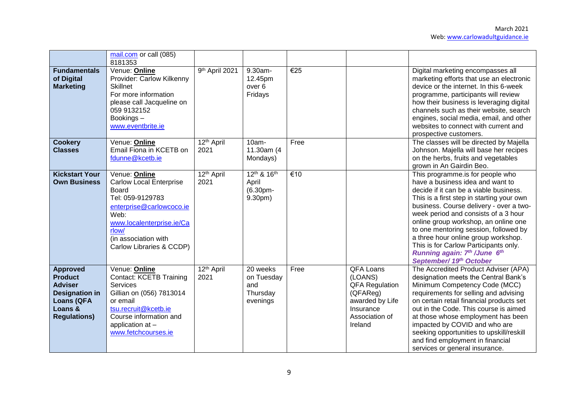|                                                                                                                                     | mail.com or call (085)<br>8181353                                                                                                                                                                          |                                |                                                       |                          |                                                                                                                               |                                                                                                                                                                                                                                                                                                                                                                                                                                                                             |
|-------------------------------------------------------------------------------------------------------------------------------------|------------------------------------------------------------------------------------------------------------------------------------------------------------------------------------------------------------|--------------------------------|-------------------------------------------------------|--------------------------|-------------------------------------------------------------------------------------------------------------------------------|-----------------------------------------------------------------------------------------------------------------------------------------------------------------------------------------------------------------------------------------------------------------------------------------------------------------------------------------------------------------------------------------------------------------------------------------------------------------------------|
| <b>Fundamentals</b><br>of Digital<br><b>Marketing</b>                                                                               | Venue: Online<br>Provider: Carlow Kilkenny<br><b>Skillnet</b><br>For more information<br>please call Jacqueline on<br>059 9132152<br>Bookings-<br>www.eventbrite.ie                                        | 9 <sup>th</sup> April 2021     | 9.30am-<br>12.45pm<br>over <sub>6</sub><br>Fridays    | €25                      |                                                                                                                               | Digital marketing encompasses all<br>marketing efforts that use an electronic<br>device or the internet. In this 6-week<br>programme, participants will review<br>how their business is leveraging digital<br>channels such as their website, search<br>engines, social media, email, and other<br>websites to connect with current and<br>prospective customers.                                                                                                           |
| <b>Cookery</b><br><b>Classes</b>                                                                                                    | Venue: Online<br>Email Fiona in KCETB on<br>fdunne@kcetb.ie                                                                                                                                                | 12 <sup>th</sup> April<br>2021 | $10am -$<br>11.30am (4<br>Mondays)                    | Free                     |                                                                                                                               | The classes will be directed by Majella<br>Johnson. Majella will base her recipes<br>on the herbs, fruits and vegetables<br>grown in An Gairdin Beo.                                                                                                                                                                                                                                                                                                                        |
| <b>Kickstart Your</b><br><b>Own Business</b>                                                                                        | Venue: Online<br><b>Carlow Local Enterprise</b><br>Board<br>Tel: 059-9129783<br>enterprise@carlowcoco.ie<br>Web:<br>www.localenterprise.ie/Ca<br>rlow/<br>(in association with<br>Carlow Libraries & CCDP) | 12 <sup>th</sup> April<br>2021 | 12th & 16th<br>April<br>(6.30pm-<br>9.30pm)           | $\overline{\epsilon}$ 10 |                                                                                                                               | This programme.is for people who<br>have a business idea and want to<br>decide if it can be a viable business.<br>This is a first step in starting your own<br>business. Course delivery - over a two-<br>week period and consists of a 3 hour<br>online group workshop, an online one<br>to one mentoring session, followed by<br>a three hour online group workshop.<br>This is for Carlow Participants only.<br>Running again: 7th / June 6th<br>September/ 19th October |
| <b>Approved</b><br><b>Product</b><br><b>Adviser</b><br><b>Designation in</b><br><b>Loans (QFA</b><br>Loans &<br><b>Regulations)</b> | Venue: Online<br><b>Contact: KCETB Training</b><br><b>Services</b><br>Gillian on (056) 7813014<br>or email<br>tsu.recruit@kcetb.ie<br>Course information and<br>application at -<br>www.fetchcourses.ie    | 12 <sup>th</sup> April<br>2021 | 20 weeks<br>on Tuesday<br>and<br>Thursday<br>evenings | Free                     | <b>QFA Loans</b><br>(LOANS)<br><b>QFA Regulation</b><br>(QFAReg)<br>awarded by Life<br>Insurance<br>Association of<br>Ireland | The Accredited Product Adviser (APA)<br>designation meets the Central Bank's<br>Minimum Competency Code (MCC)<br>requirements for selling and advising<br>on certain retail financial products set<br>out in the Code. This course is aimed<br>at those whose employment has been<br>impacted by COVID and who are<br>seeking opportunities to upskill/reskill<br>and find employment in financial<br>services or general insurance.                                        |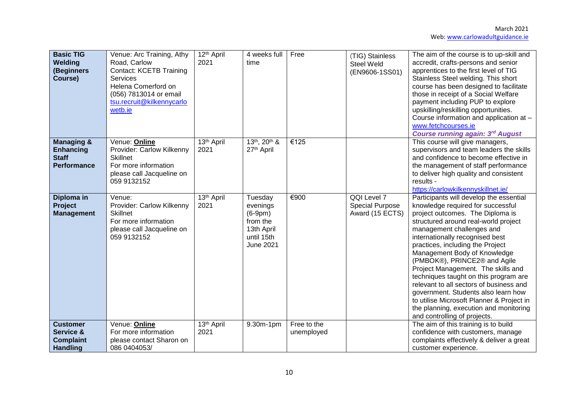| <b>Basic TIG</b><br>Welding<br>(Beginners<br>Course)                            | Venue: Arc Training, Athy<br>Road, Carlow<br><b>Contact: KCETB Training</b><br><b>Services</b><br>Helena Comerford on<br>(056) 7813014 or email<br>tsu.recruit@kilkennycarlo<br>wetb.ie | 12 <sup>th</sup> April<br>2021 | 4 weeks full<br>time                                                                         | Free                      | (TIG) Stainless<br><b>Steel Weld</b><br>(EN9606-1SS01)   | The aim of the course is to up-skill and<br>accredit, crafts-persons and senior<br>apprentices to the first level of TIG<br>Stainless Steel welding. This short<br>course has been designed to facilitate<br>those in receipt of a Social Welfare<br>payment including PUP to explore<br>upskilling/reskilling opportunities.<br>Course information and application at -<br>www.fetchcourses.ie<br><b>Course running again: 3rd August</b>                                                                                                                                                                           |
|---------------------------------------------------------------------------------|-----------------------------------------------------------------------------------------------------------------------------------------------------------------------------------------|--------------------------------|----------------------------------------------------------------------------------------------|---------------------------|----------------------------------------------------------|----------------------------------------------------------------------------------------------------------------------------------------------------------------------------------------------------------------------------------------------------------------------------------------------------------------------------------------------------------------------------------------------------------------------------------------------------------------------------------------------------------------------------------------------------------------------------------------------------------------------|
| <b>Managing &amp;</b><br><b>Enhancing</b><br><b>Staff</b><br><b>Performance</b> | Venue: Online<br>Provider: Carlow Kilkenny<br><b>Skillnet</b><br>For more information<br>please call Jacqueline on<br>059 9132152                                                       | 13 <sup>th</sup> April<br>2021 | 13th, 20th &<br>27th April                                                                   | €125                      |                                                          | This course will give managers,<br>supervisors and team leaders the skills<br>and confidence to become effective in<br>the management of staff performance<br>to deliver high quality and consistent<br>results -<br>https://carlowkilkennyskillnet.ie/                                                                                                                                                                                                                                                                                                                                                              |
| Diploma in<br>Project<br><b>Management</b>                                      | Venue:<br>Provider: Carlow Kilkenny<br><b>Skillnet</b><br>For more information<br>please call Jacqueline on<br>059 9132152                                                              | 13 <sup>th</sup> April<br>2021 | Tuesday<br>evenings<br>$(6-9pm)$<br>from the<br>13th April<br>until 15th<br><b>June 2021</b> | €900                      | QQI Level 7<br><b>Special Purpose</b><br>Award (15 ECTS) | Participants will develop the essential<br>knowledge required for successful<br>project outcomes. The Diploma is<br>structured around real-world project<br>management challenges and<br>internationally recognised best<br>practices, including the Project<br>Management Body of Knowledge<br>(PMBOK®), PRINCE2® and Agile<br>Project Management. The skills and<br>techniques taught on this program are<br>relevant to all sectors of business and<br>government. Students also learn how<br>to utilise Microsoft Planner & Project in<br>the planning, execution and monitoring<br>and controlling of projects. |
| <b>Customer</b><br>Service &                                                    | Venue: Online<br>For more information                                                                                                                                                   | 13 <sup>th</sup> April<br>2021 | 9.30m-1pm                                                                                    | Free to the<br>unemployed |                                                          | The aim of this training is to build<br>confidence with customers, manage                                                                                                                                                                                                                                                                                                                                                                                                                                                                                                                                            |
| <b>Complaint</b><br><b>Handling</b>                                             | please contact Sharon on<br>086 0404053/                                                                                                                                                |                                |                                                                                              |                           |                                                          | complaints effectively & deliver a great<br>customer experience.                                                                                                                                                                                                                                                                                                                                                                                                                                                                                                                                                     |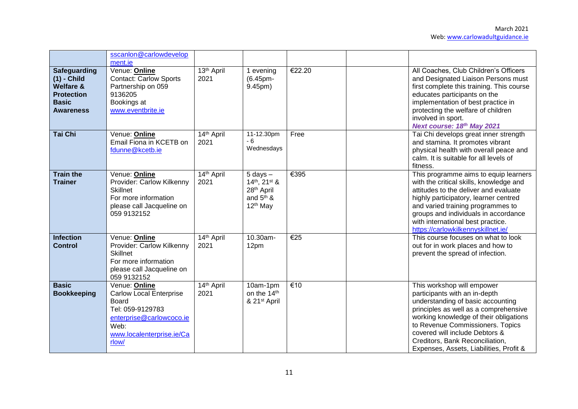|                                                                                                                       | sscanlon@carlowdevelop<br>ment.ie                                                                                                                             |                                |                                                                                                         |        |                                                                                                                                                                                                                                                                                                                                         |
|-----------------------------------------------------------------------------------------------------------------------|---------------------------------------------------------------------------------------------------------------------------------------------------------------|--------------------------------|---------------------------------------------------------------------------------------------------------|--------|-----------------------------------------------------------------------------------------------------------------------------------------------------------------------------------------------------------------------------------------------------------------------------------------------------------------------------------------|
| <b>Safeguarding</b><br>$(1)$ - Child<br><b>Welfare &amp;</b><br><b>Protection</b><br><b>Basic</b><br><b>Awareness</b> | Venue: Online<br><b>Contact: Carlow Sports</b><br>Partnership on 059<br>9136205<br>Bookings at<br>www.eventbrite.ie                                           | 13 <sup>th</sup> April<br>2021 | 1 evening<br>(6.45pm-<br>9.45pm)                                                                        | €22.20 | All Coaches, Club Children's Officers<br>and Designated Liaison Persons must<br>first complete this training. This course<br>educates participants on the<br>implementation of best practice in<br>protecting the welfare of children<br>involved in sport.<br>Next course: 18th May 2021                                               |
| Tai Chi                                                                                                               | Venue: Online<br>Email Fiona in KCETB on<br>fdunne@kcetb.ie                                                                                                   | 14th April<br>2021             | 11-12.30pm<br>$-6$<br>Wednesdays                                                                        | Free   | Tai Chi develops great inner strength<br>and stamina. It promotes vibrant<br>physical health with overall peace and<br>calm. It is suitable for all levels of<br>fitness.                                                                                                                                                               |
| <b>Train the</b><br><b>Trainer</b>                                                                                    | Venue: Online<br>Provider: Carlow Kilkenny<br><b>Skillnet</b><br>For more information<br>please call Jacqueline on<br>059 9132152                             | 14th April<br>2021             | $5$ days $-$<br>14th, 21st &<br>28 <sup>th</sup> April<br>and 5 <sup>th</sup> &<br>12 <sup>th</sup> May | €395   | This programme aims to equip learners<br>with the critical skills, knowledge and<br>attitudes to the deliver and evaluate<br>highly participatory, learner centred<br>and varied training programmes to<br>groups and individuals in accordance<br>with international best practice.<br>https://carlowkilkennyskillnet.ie/              |
| <b>Infection</b><br><b>Control</b>                                                                                    | Venue: Online<br>Provider: Carlow Kilkenny<br><b>Skillnet</b><br>For more information<br>please call Jacqueline on<br>059 9132152                             | 14th April<br>2021             | 10.30am-<br>12pm                                                                                        | €25    | This course focuses on what to look<br>out for in work places and how to<br>prevent the spread of infection.                                                                                                                                                                                                                            |
| <b>Basic</b><br><b>Bookkeeping</b>                                                                                    | Venue: Online<br><b>Carlow Local Enterprise</b><br><b>Board</b><br>Tel: 059-9129783<br>enterprise@carlowcoco.ie<br>Web:<br>www.localenterprise.ie/Ca<br>rlow/ | 14th April<br>2021             | 10am-1pm<br>on the 14th<br>& 21st April                                                                 | €10    | This workshop will empower<br>participants with an in-depth<br>understanding of basic accounting<br>principles as well as a comprehensive<br>working knowledge of their obligations<br>to Revenue Commissioners. Topics<br>covered will include Debtors &<br>Creditors, Bank Reconciliation,<br>Expenses, Assets, Liabilities, Profit & |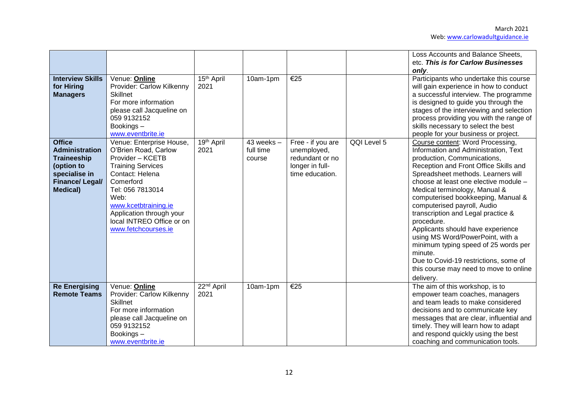| <b>Interview Skills</b><br>for Hiring<br><b>Managers</b>                                                                                 | Venue: Online<br>Provider: Carlow Kilkenny<br>Skillnet<br>For more information<br>please call Jacqueline on<br>059 9132152<br>Bookings-                                                                                                                                                   | 15 <sup>th</sup> April<br>2021 | 10am-1pm                              | €25                                                                                       |             | Loss Accounts and Balance Sheets,<br>etc. This is for Carlow Businesses<br>only.<br>Participants who undertake this course<br>will gain experience in how to conduct<br>a successful interview. The programme<br>is designed to guide you through the<br>stages of the interviewing and selection<br>process providing you with the range of<br>skills necessary to select the best                                                                                                                                                                                                                                                                           |
|------------------------------------------------------------------------------------------------------------------------------------------|-------------------------------------------------------------------------------------------------------------------------------------------------------------------------------------------------------------------------------------------------------------------------------------------|--------------------------------|---------------------------------------|-------------------------------------------------------------------------------------------|-------------|---------------------------------------------------------------------------------------------------------------------------------------------------------------------------------------------------------------------------------------------------------------------------------------------------------------------------------------------------------------------------------------------------------------------------------------------------------------------------------------------------------------------------------------------------------------------------------------------------------------------------------------------------------------|
| <b>Office</b><br><b>Administration</b><br><b>Traineeship</b><br>(option to<br>specialise in<br><b>Finance/Legal/</b><br><b>Medical</b> ) | www.eventbrite.ie<br>Venue: Enterprise House,<br>O'Brien Road, Carlow<br>Provider - KCETB<br><b>Training Services</b><br>Contact: Helena<br>Comerford<br>Tel: 056 7813014<br>Web:<br>www.kcetbtraining.ie<br>Application through your<br>local INTREO Office or on<br>www.fetchcourses.ie | 19th April<br>2021             | $43$ weeks $-$<br>full time<br>course | Free - if you are<br>unemployed,<br>redundant or no<br>longer in full-<br>time education. | QQI Level 5 | people for your business or project.<br>Course content: Word Processing,<br>Information and Administration, Text<br>production, Communications,<br>Reception and Front Office Skills and<br>Spreadsheet methods. Learners will<br>choose at least one elective module -<br>Medical terminology, Manual &<br>computerised bookkeeping, Manual &<br>computerised payroll, Audio<br>transcription and Legal practice &<br>procedure.<br>Applicants should have experience<br>using MS Word/PowerPoint, with a<br>minimum typing speed of 25 words per<br>minute.<br>Due to Covid-19 restrictions, some of<br>this course may need to move to online<br>delivery. |
| <b>Re Energising</b><br><b>Remote Teams</b>                                                                                              | Venue: Online<br>Provider: Carlow Kilkenny<br><b>Skillnet</b><br>For more information<br>please call Jacqueline on<br>059 9132152<br>Bookings-<br>www.eventbrite.ie                                                                                                                       | 22 <sup>nd</sup> April<br>2021 | 10am-1pm                              | €25                                                                                       |             | The aim of this workshop, is to<br>empower team coaches, managers<br>and team leads to make considered<br>decisions and to communicate key<br>messages that are clear, influential and<br>timely. They will learn how to adapt<br>and respond quickly using the best<br>coaching and communication tools.                                                                                                                                                                                                                                                                                                                                                     |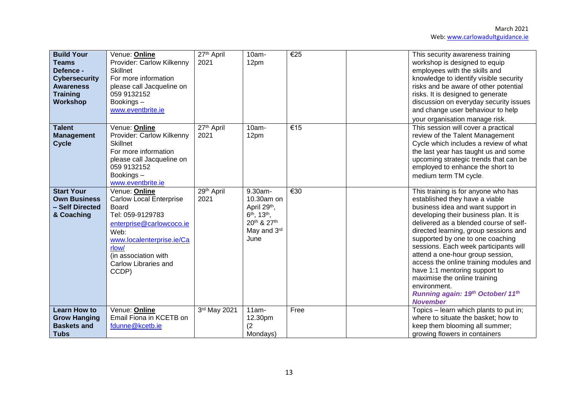| <b>Build Your</b><br><b>Teams</b><br>Defence -<br><b>Cybersecurity</b><br><b>Awareness</b><br><b>Training</b><br><b>Workshop</b> | Venue: Online<br>Provider: Carlow Kilkenny<br><b>Skillnet</b><br>For more information<br>please call Jacqueline on<br>059 9132152<br>Bookings-<br>www.eventbrite.ie                                             | $27th$ April<br>2021           | 10am-<br>12pm                                                                                                      | €25  | This security awareness training<br>workshop is designed to equip<br>employees with the skills and<br>knowledge to identify visible security<br>risks and be aware of other potential<br>risks. It is designed to generate<br>discussion on everyday security issues<br>and change user behaviour to help<br>your organisation manage risk.                                                                                                                                                                                                |
|----------------------------------------------------------------------------------------------------------------------------------|-----------------------------------------------------------------------------------------------------------------------------------------------------------------------------------------------------------------|--------------------------------|--------------------------------------------------------------------------------------------------------------------|------|--------------------------------------------------------------------------------------------------------------------------------------------------------------------------------------------------------------------------------------------------------------------------------------------------------------------------------------------------------------------------------------------------------------------------------------------------------------------------------------------------------------------------------------------|
| <b>Talent</b><br><b>Management</b><br><b>Cycle</b>                                                                               | Venue: Online<br>Provider: Carlow Kilkenny<br><b>Skillnet</b><br>For more information<br>please call Jacqueline on<br>059 9132152<br>Bookings-<br>www.eventbrite.ie                                             | $27th$ April<br>2021           | 10am-<br>12pm                                                                                                      | €15  | This session will cover a practical<br>review of the Talent Management<br>Cycle which includes a review of what<br>the last year has taught us and some<br>upcoming strategic trends that can be<br>employed to enhance the short to<br>medium term TM cycle.                                                                                                                                                                                                                                                                              |
| <b>Start Your</b><br><b>Own Business</b><br>- Self Directed<br>& Coaching                                                        | Venue: Online<br><b>Carlow Local Enterprise</b><br>Board<br>Tel: 059-9129783<br>enterprise@carlowcoco.ie<br>Web:<br>www.localenterprise.ie/Ca<br>rlow/<br>(in association with<br>Carlow Libraries and<br>CCDP) | 29 <sup>th</sup> April<br>2021 | 9.30am-<br>10.30am on<br>April 29th,<br>6 <sup>th</sup> , 13 <sup>th</sup> ,<br>20th & 27th<br>May and 3rd<br>June | €30  | This training is for anyone who has<br>established they have a viable<br>business idea and want support in<br>developing their business plan. It is<br>delivered as a blended course of self-<br>directed learning, group sessions and<br>supported by one to one coaching<br>sessions. Each week participants will<br>attend a one-hour group session,<br>access the online training modules and<br>have 1:1 mentoring support to<br>maximise the online training<br>environment.<br>Running again: 19th October/ 11th<br><b>November</b> |
| <b>Learn How to</b><br><b>Grow Hanging</b><br><b>Baskets and</b><br><b>Tubs</b>                                                  | Venue: Online<br>Email Fiona in KCETB on<br>fdunne@kcetb.ie                                                                                                                                                     | 3rd May 2021                   | $11am -$<br>12.30pm<br>(2)<br>Mondays)                                                                             | Free | Topics - learn which plants to put in;<br>where to situate the basket; how to<br>keep them blooming all summer;<br>growing flowers in containers                                                                                                                                                                                                                                                                                                                                                                                           |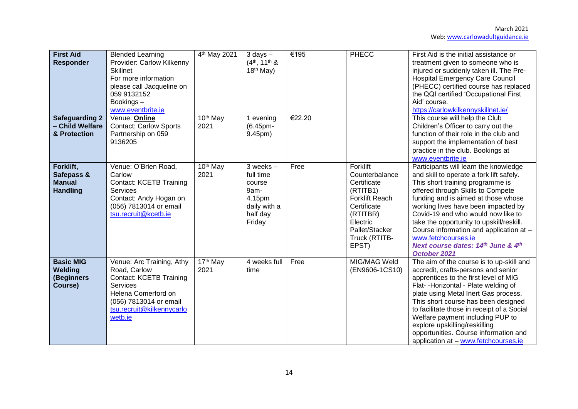| <b>First Aid</b><br><b>Responder</b>                        | <b>Blended Learning</b><br>Provider: Carlow Kilkenny<br><b>Skillnet</b><br>For more information<br>please call Jacqueline on<br>059 9132152<br>Bookings-<br>www.eventbrite.ie           | 4 <sup>th</sup> May 2021     | $3$ days $-$<br>$(4th, 11th$ &<br>$18th$ May)                                                | €195   | PHECC                                                                                                                                                             | First Aid is the initial assistance or<br>treatment given to someone who is<br>injured or suddenly taken ill. The Pre-<br><b>Hospital Emergency Care Council</b><br>(PHECC) certified course has replaced<br>the QQI certified 'Occupational First<br>Aid' course.<br>https://carlowkilkennyskillnet.ie/                                                                                                                                             |
|-------------------------------------------------------------|-----------------------------------------------------------------------------------------------------------------------------------------------------------------------------------------|------------------------------|----------------------------------------------------------------------------------------------|--------|-------------------------------------------------------------------------------------------------------------------------------------------------------------------|------------------------------------------------------------------------------------------------------------------------------------------------------------------------------------------------------------------------------------------------------------------------------------------------------------------------------------------------------------------------------------------------------------------------------------------------------|
| <b>Safeguarding 2</b><br>- Child Welfare<br>& Protection    | Venue: Online<br><b>Contact: Carlow Sports</b><br>Partnership on 059<br>9136205                                                                                                         | 10 <sup>th</sup> May<br>2021 | 1 evening<br>(6.45pm-<br>9.45pm)                                                             | €22.20 |                                                                                                                                                                   | This course will help the Club<br>Children's Officer to carry out the<br>function of their role in the club and<br>support the implementation of best<br>practice in the club. Bookings at<br>www.eventbrite.ie                                                                                                                                                                                                                                      |
| Forklift,<br>Safepass &<br><b>Manual</b><br><b>Handling</b> | Venue: O'Brien Road,<br>Carlow<br><b>Contact: KCETB Training</b><br>Services<br>Contact: Andy Hogan on<br>(056) 7813014 or email<br>tsu.recruit@kcetb.ie                                | 10 <sup>th</sup> May<br>2021 | $3$ weeks $-$<br>full time<br>course<br>9am-<br>4.15pm<br>daily with a<br>half day<br>Friday | Free   | Forklift<br>Counterbalance<br>Certificate<br>(RTITB1)<br><b>Forklift Reach</b><br>Certificate<br>(RTITBR)<br>Electric<br>Pallet/Stacker<br>Truck (RTITB-<br>EPST) | Participants will learn the knowledge<br>and skill to operate a fork lift safely.<br>This short training programme is<br>offered through Skills to Compete<br>funding and is aimed at those whose<br>working lives have been impacted by<br>Covid-19 and who would now like to<br>take the opportunity to upskill/reskill.<br>Course information and application at -<br>www.fetchcourses.ie<br>Next course dates: 14th June & 4th<br>October 2021   |
| <b>Basic MIG</b><br>Welding<br>(Beginners<br>Course)        | Venue: Arc Training, Athy<br>Road, Carlow<br><b>Contact: KCETB Training</b><br><b>Services</b><br>Helena Comerford on<br>(056) 7813014 or email<br>tsu.recruit@kilkennycarlo<br>wetb.ie | $17th$ May<br>2021           | 4 weeks full<br>time                                                                         | Free   | MIG/MAG Weld<br>(EN9606-1CS10)                                                                                                                                    | The aim of the course is to up-skill and<br>accredit, crafts-persons and senior<br>apprentices to the first level of MIG<br>Flat- - Horizontal - Plate welding of<br>plate using Metal Inert Gas process.<br>This short course has been designed<br>to facilitate those in receipt of a Social<br>Welfare payment including PUP to<br>explore upskilling/reskilling<br>opportunities. Course information and<br>application at - www.fetchcourses.ie |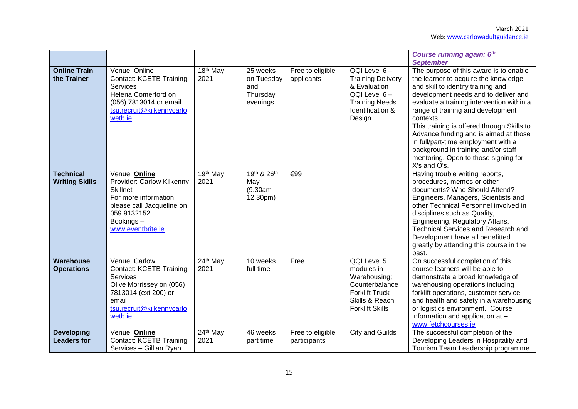|                                           |                                                                                                                                                                     |                    |                                                       |                                  |                                                                                                                                      | Course running again: 6th<br><b>September</b>                                                                                                                                                                                                                                                                                                                                                                                                                                            |
|-------------------------------------------|---------------------------------------------------------------------------------------------------------------------------------------------------------------------|--------------------|-------------------------------------------------------|----------------------------------|--------------------------------------------------------------------------------------------------------------------------------------|------------------------------------------------------------------------------------------------------------------------------------------------------------------------------------------------------------------------------------------------------------------------------------------------------------------------------------------------------------------------------------------------------------------------------------------------------------------------------------------|
| <b>Online Train</b><br>the Trainer        | Venue: Online<br><b>Contact: KCETB Training</b><br>Services<br>Helena Comerford on<br>(056) 7813014 or email<br>tsu.recruit@kilkennycarlo<br>wetb.ie                | $18th$ May<br>2021 | 25 weeks<br>on Tuesday<br>and<br>Thursday<br>evenings | Free to eligible<br>applicants   | $QQI$ Level $6 -$<br><b>Training Delivery</b><br>& Evaluation<br>QQI Level 6-<br><b>Training Needs</b><br>Identification &<br>Design | The purpose of this award is to enable<br>the learner to acquire the knowledge<br>and skill to identify training and<br>development needs and to deliver and<br>evaluate a training intervention within a<br>range of training and development<br>contexts.<br>This training is offered through Skills to<br>Advance funding and is aimed at those<br>in full/part-time employment with a<br>background in training and/or staff<br>mentoring. Open to those signing for<br>X's and O's. |
| <b>Technical</b><br><b>Writing Skills</b> | Venue: Online<br>Provider: Carlow Kilkenny<br><b>Skillnet</b><br>For more information<br>please call Jacqueline on<br>059 9132152<br>Bookings-<br>www.eventbrite.ie | 19th May<br>2021   | 19th & 26th<br>May<br>$(9.30am -$<br>12.30pm)         | €99                              |                                                                                                                                      | Having trouble writing reports,<br>procedures, memos or other<br>documents? Who Should Attend?<br>Engineers, Managers, Scientists and<br>other Technical Personnel involved in<br>disciplines such as Quality,<br>Engineering, Regulatory Affairs,<br><b>Technical Services and Research and</b><br>Development have all benefitted<br>greatly by attending this course in the<br>past.                                                                                                  |
| <b>Warehouse</b><br><b>Operations</b>     | Venue: Carlow<br><b>Contact: KCETB Training</b><br>Services<br>Olive Morrissey on (056)<br>7813014 (ext 200) or<br>email<br>tsu.recruit@kilkennycarlo<br>wetb.ie    | 24th May<br>2021   | 10 weeks<br>full time                                 | Free                             | QQI Level 5<br>modules in<br>Warehousing;<br>Counterbalance<br><b>Forklift Truck</b><br>Skills & Reach<br><b>Forklift Skills</b>     | On successful completion of this<br>course learners will be able to<br>demonstrate a broad knowledge of<br>warehousing operations including<br>forklift operations, customer service<br>and health and safety in a warehousing<br>or logistics environment. Course<br>information and application at -<br>www.fetchcourses.ie                                                                                                                                                            |
| <b>Developing</b><br><b>Leaders for</b>   | Venue: Online<br><b>Contact: KCETB Training</b><br>Services - Gillian Ryan                                                                                          | 24th May<br>2021   | 46 weeks<br>part time                                 | Free to eligible<br>participants | City and Guilds                                                                                                                      | The successful completion of the<br>Developing Leaders in Hospitality and<br>Tourism Team Leadership programme                                                                                                                                                                                                                                                                                                                                                                           |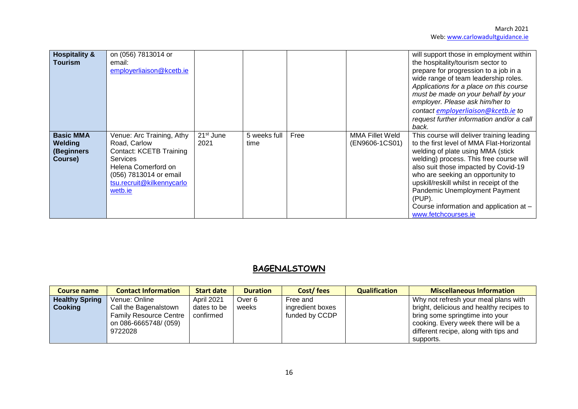| <b>Hospitality &amp;</b><br><b>Tourism</b>           | on (056) 7813014 or<br>email:<br>employerliaison@kcetb.ie                                                                                                                               |                               |                      |      |                                   | will support those in employment within<br>the hospitality/tourism sector to<br>prepare for progression to a job in a<br>wide range of team leadership roles.<br>Applications for a place on this course<br>must be made on your behalf by your<br>employer. Please ask him/her to<br>contact employerliaison@kcetb.ie to<br>request further information and/or a call<br>back.                              |
|------------------------------------------------------|-----------------------------------------------------------------------------------------------------------------------------------------------------------------------------------------|-------------------------------|----------------------|------|-----------------------------------|--------------------------------------------------------------------------------------------------------------------------------------------------------------------------------------------------------------------------------------------------------------------------------------------------------------------------------------------------------------------------------------------------------------|
| <b>Basic MMA</b><br>Welding<br>(Beginners<br>Course) | Venue: Arc Training, Athy<br>Road, Carlow<br><b>Contact: KCETB Training</b><br><b>Services</b><br>Helena Comerford on<br>(056) 7813014 or email<br>tsu.recruit@kilkennycarlo<br>wetb.ie | 21 <sup>st</sup> June<br>2021 | 5 weeks full<br>time | Free | MMA Fillet Weld<br>(EN9606-1CS01) | This course will deliver training leading<br>to the first level of MMA Flat-Horizontal<br>welding of plate using MMA (stick<br>welding) process. This free course will<br>also suit those impacted by Covid-19<br>who are seeking an opportunity to<br>upskill/reskill whilst in receipt of the<br>Pandemic Unemployment Payment<br>(PUP).<br>Course information and application at -<br>www.fetchcourses.ie |

## **BAGENALSTOWN**

| <b>Course name</b>    | <b>Contact Information</b>    | <b>Start date</b> | <b>Duration</b> | Cost/fees        | <b>Qualification</b> | <b>Miscellaneous Information</b>         |
|-----------------------|-------------------------------|-------------------|-----------------|------------------|----------------------|------------------------------------------|
| <b>Healthy Spring</b> | Venue: Online                 | April 2021        | Over 6          | Free and         |                      | Why not refresh your meal plans with     |
| <b>Cooking</b>        | Call the Bagenalstown         | dates to be       | weeks           | ingredient boxes |                      | bright, delicious and healthy recipes to |
|                       | <b>Family Resource Centre</b> | confirmed         |                 | funded by CCDP   |                      | bring some springtime into your          |
|                       | on 086-6665748/ (059)         |                   |                 |                  |                      | cooking. Every week there will be a      |
|                       | 9722028                       |                   |                 |                  |                      | different recipe, along with tips and    |
|                       |                               |                   |                 |                  |                      | supports.                                |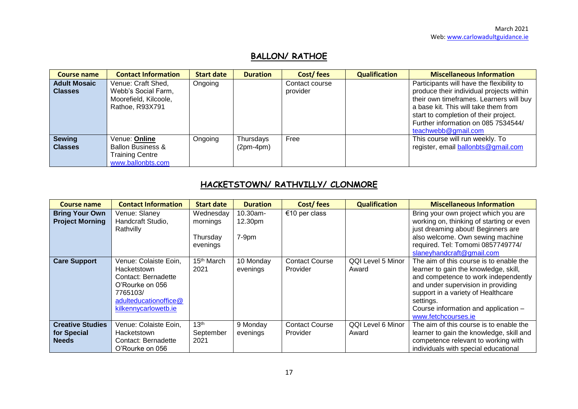# **BALLON/ RATHOE**

| <b>Course name</b>  | <b>Contact Information</b>   | <b>Start date</b> | <b>Duration</b> | Cost/fees      | <b>Qualification</b> | <b>Miscellaneous Information</b>          |
|---------------------|------------------------------|-------------------|-----------------|----------------|----------------------|-------------------------------------------|
| <b>Adult Mosaic</b> | Venue: Craft Shed,           | Ongoing           |                 | Contact course |                      | Participants will have the flexibility to |
| <b>Classes</b>      | Webb's Social Farm,          |                   |                 | provider       |                      | produce their individual projects within  |
|                     | Moorefield, Kilcoole,        |                   |                 |                |                      | their own timeframes. Learners will buy   |
|                     | Rathoe, R93X791              |                   |                 |                |                      | a base kit. This will take them from      |
|                     |                              |                   |                 |                |                      | start to completion of their project.     |
|                     |                              |                   |                 |                |                      | Further information on 085 7534544/       |
|                     |                              |                   |                 |                |                      | teachwebb@gmail.com                       |
| <b>Sewing</b>       | Venue: Online                | Ongoing           | Thursdays       | Free           |                      | This course will run weekly. To           |
| <b>Classes</b>      | <b>Ballon Business &amp;</b> |                   | $(2pm-4pm)$     |                |                      | register, email ballonbts@gmail.com       |
|                     | <b>Training Centre</b>       |                   |                 |                |                      |                                           |
|                     | www.ballonbts.com            |                   |                 |                |                      |                                           |

# **HACKETSTOWN/ RATHVILLY/ CLONMORE**

| Course name                                            | <b>Contact Information</b>                                                                                                                  | <b>Start date</b>                             | <b>Duration</b>                 | Cost/fees                         | <b>Qualification</b>       | <b>Miscellaneous Information</b>                                                                                                                                                                                                                                                 |
|--------------------------------------------------------|---------------------------------------------------------------------------------------------------------------------------------------------|-----------------------------------------------|---------------------------------|-----------------------------------|----------------------------|----------------------------------------------------------------------------------------------------------------------------------------------------------------------------------------------------------------------------------------------------------------------------------|
| <b>Bring Your Own</b><br><b>Project Morning</b>        | Venue: Slaney<br>Handcraft Studio,<br>Rathvilly                                                                                             | Wednesday<br>mornings<br>Thursday<br>evenings | 10.30am-<br>12.30pm<br>$7-9$ pm | €10 per class                     |                            | Bring your own project which you are<br>working on, thinking of starting or even<br>just dreaming about! Beginners are<br>also welcome. Own sewing machine<br>required. Tel: Tomomi 0857749774/<br>slaneyhandcraft@gmail.com                                                     |
| <b>Care Support</b>                                    | Venue: Colaiste Eoin,<br>Hacketstown<br>Contact: Bernadette<br>O'Rourke on 056<br>7765103/<br>adulteducationoffice@<br>kilkennycarlowetb.ie | 15 <sup>th</sup> March<br>2021                | 10 Monday<br>evenings           | <b>Contact Course</b><br>Provider | QQI Level 5 Minor<br>Award | The aim of this course is to enable the<br>learner to gain the knowledge, skill,<br>and competence to work independently<br>and under supervision in providing<br>support in a variety of Healthcare<br>settings.<br>Course information and application -<br>www.fetchcourses.je |
| <b>Creative Studies</b><br>for Special<br><b>Needs</b> | Venue: Colaiste Eoin,<br>Hacketstown<br>Contact: Bernadette<br>O'Rourke on 056                                                              | 13 <sup>th</sup><br>September<br>2021         | 9 Monday<br>evenings            | <b>Contact Course</b><br>Provider | QQI Level 6 Minor<br>Award | The aim of this course is to enable the<br>learner to gain the knowledge, skill and<br>competence relevant to working with<br>individuals with special educational                                                                                                               |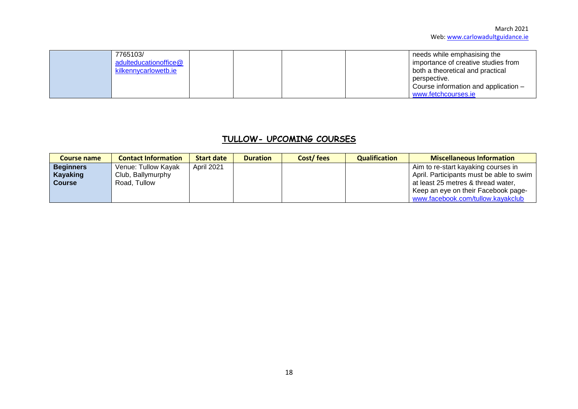| 7765103/              |  |  | needs while emphasising the          |
|-----------------------|--|--|--------------------------------------|
| adulteducationoffice@ |  |  | importance of creative studies from  |
| kilkennycarlowetb.ie  |  |  | both a theoretical and practical     |
|                       |  |  | perspective.                         |
|                       |  |  | Course information and application - |
|                       |  |  | www.fetchcourses.ie                  |

## **TULLOW- UPCOMING COURSES**

| Course name      | <b>Contact Information</b> | <b>Start date</b> | <b>Duration</b> | Cost/fees | <b>Qualification</b> | <b>Miscellaneous Information</b>         |
|------------------|----------------------------|-------------------|-----------------|-----------|----------------------|------------------------------------------|
| <b>Beginners</b> | Venue: Tullow Kayak        | April 2021        |                 |           |                      | Aim to re-start kayaking courses in      |
| Kayaking         | Club, Ballymurphy          |                   |                 |           |                      | April. Participants must be able to swim |
| <b>Course</b>    | Road, Tullow               |                   |                 |           |                      | at least 25 metres & thread water,       |
|                  |                            |                   |                 |           |                      | Keep an eye on their Facebook page-      |
|                  |                            |                   |                 |           |                      | www.facebook.com/tullow.kayakclub        |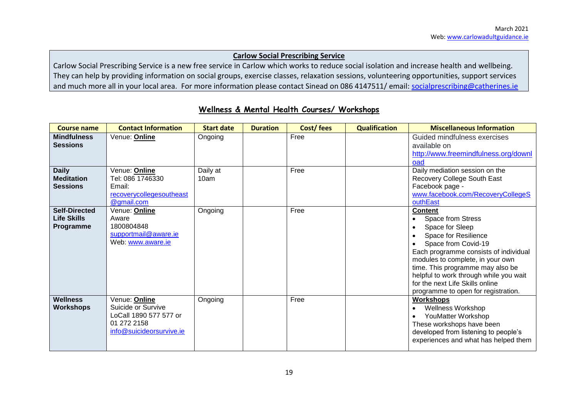#### **Carlow Social Prescribing Service**

Carlow Social Prescribing Service is a new free service in Carlow which works to reduce social isolation and increase health and wellbeing. They can help by providing information on social groups, exercise classes, relaxation sessions, volunteering opportunities, support services and much more all in your local area. For more information please contact Sinead on 086 4147511/ email: [socialprescribing@catherines.ie](mailto:socialprescribing@catherines.ie)

| <b>Course name</b>                                      | <b>Contact Information</b>                                                                               | <b>Start date</b> | <b>Duration</b> | Cost/fees | <b>Qualification</b> | <b>Miscellaneous Information</b>                                                                                                                                                                                                                                                                                                           |
|---------------------------------------------------------|----------------------------------------------------------------------------------------------------------|-------------------|-----------------|-----------|----------------------|--------------------------------------------------------------------------------------------------------------------------------------------------------------------------------------------------------------------------------------------------------------------------------------------------------------------------------------------|
| <b>Mindfulness</b><br><b>Sessions</b>                   | Venue: Online                                                                                            | Ongoing           |                 | Free      |                      | Guided mindfulness exercises<br>available on<br>http://www.freemindfulness.org/downl<br>oad                                                                                                                                                                                                                                                |
| <b>Daily</b><br><b>Meditation</b><br><b>Sessions</b>    | Venue: <b>Online</b><br>Tel: 086 1746330<br>Email:<br>recoverycollegesoutheast<br>@gmail.com             | Daily at<br>10am  |                 | Free      |                      | Daily mediation session on the<br>Recovery College South East<br>Facebook page -<br>www.facebook.com/RecoveryCollegeS<br>outhEast                                                                                                                                                                                                          |
| <b>Self-Directed</b><br><b>Life Skills</b><br>Programme | Venue: <b>Online</b><br>Aware<br>1800804848<br>supportmail@aware.ie<br>Web: www.aware.ie                 | Ongoing           |                 | Free      |                      | <b>Content</b><br>Space from Stress<br>Space for Sleep<br>Space for Resilience<br>Space from Covid-19<br>Each programme consists of individual<br>modules to complete, in your own<br>time. This programme may also be<br>helpful to work through while you wait<br>for the next Life Skills online<br>programme to open for registration. |
| <b>Wellness</b><br><b>Workshops</b>                     | Venue: Online<br>Suicide or Survive<br>LoCall 1890 577 577 or<br>01 272 2158<br>info@suicideorsurvive.ie | Ongoing           |                 | Free      |                      | <b>Workshops</b><br><b>Wellness Workshop</b><br>YouMatter Workshop<br>These workshops have been<br>developed from listening to people's<br>experiences and what has helped them                                                                                                                                                            |

### **Wellness & Mental Health Courses/ Workshops**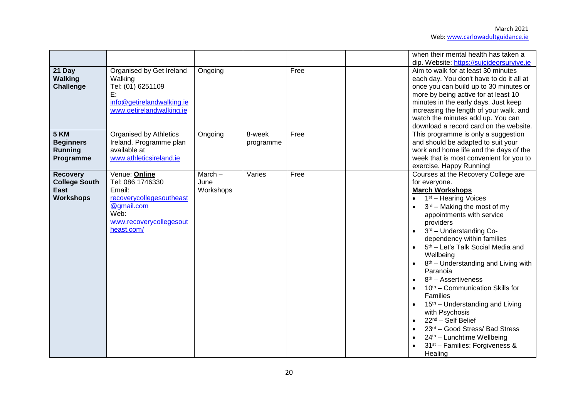|                                                                     |                                                                                                                                        |                                |                     |      | when their mental health has taken a<br>dip. Website: https://suicideorsurvive.ie                                                                                                                                                                                                                                                                                                                                                                                                                                                                                                                                                                                                         |
|---------------------------------------------------------------------|----------------------------------------------------------------------------------------------------------------------------------------|--------------------------------|---------------------|------|-------------------------------------------------------------------------------------------------------------------------------------------------------------------------------------------------------------------------------------------------------------------------------------------------------------------------------------------------------------------------------------------------------------------------------------------------------------------------------------------------------------------------------------------------------------------------------------------------------------------------------------------------------------------------------------------|
| 21 Day<br><b>Walking</b><br>Challenge                               | Organised by Get Ireland<br>Walking<br>Tel: (01) 6251109<br>E:<br>info@getirelandwalking.ie<br>www.getirelandwalking.ie                | Ongoing                        |                     | Free | Aim to walk for at least 30 minutes<br>each day. You don't have to do it all at<br>once you can build up to 30 minutes or<br>more by being active for at least 10<br>minutes in the early days. Just keep<br>increasing the length of your walk, and<br>watch the minutes add up. You can<br>download a record card on the website.                                                                                                                                                                                                                                                                                                                                                       |
| <b>5 KM</b><br><b>Beginners</b><br><b>Running</b><br>Programme      | <b>Organised by Athletics</b><br>Ireland. Programme plan<br>available at<br>www.athleticsireland.ie                                    | Ongoing                        | 8-week<br>programme | Free | This programme is only a suggestion<br>and should be adapted to suit your<br>work and home life and the days of the<br>week that is most convenient for you to<br>exercise. Happy Running!                                                                                                                                                                                                                                                                                                                                                                                                                                                                                                |
| <b>Recovery</b><br><b>College South</b><br>East<br><b>Workshops</b> | Venue: Online<br>Tel: 086 1746330<br>Email:<br>recoverycollegesoutheast<br>@gmail.com<br>Web:<br>www.recoverycollegesout<br>heast.com/ | $March -$<br>June<br>Workshops | Varies              | Free | Courses at the Recovery College are<br>for everyone.<br><b>March Workshops</b><br>1 <sup>st</sup> – Hearing Voices<br>$3rd$ – Making the most of my<br>appointments with service<br>providers<br>3rd - Understanding Co-<br>dependency within families<br>5 <sup>th</sup> - Let's Talk Social Media and<br>Wellbeing<br>$8th$ – Understanding and Living with<br>Paranoia<br>$8th$ – Assertiveness<br>10 <sup>th</sup> – Communication Skills for<br>Families<br>15 <sup>th</sup> – Understanding and Living<br>with Psychosis<br>22 <sup>nd</sup> - Self Belief<br>23rd - Good Stress/ Bad Stress<br>24th - Lunchtime Wellbeing<br>31 <sup>st</sup> – Families: Forgiveness &<br>Healing |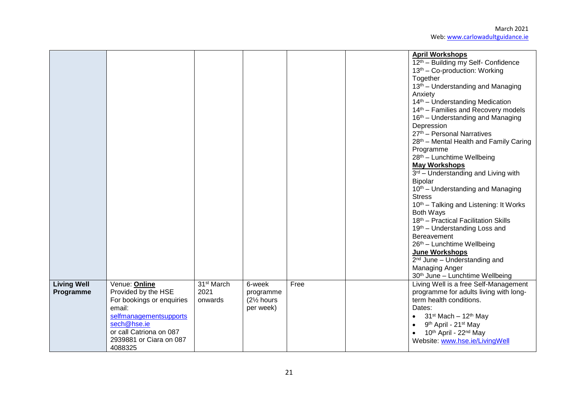|                                 |                                                                                                                                                                                       |                                           |                                                                          |      | <b>April Workshops</b><br>12th - Building my Self- Confidence<br>13 <sup>th</sup> – Co-production: Working<br>Together<br>13 <sup>th</sup> – Understanding and Managing<br>Anxiety<br>14 <sup>th</sup> - Understanding Medication<br>14 <sup>th</sup> – Families and Recovery models<br>16 <sup>th</sup> – Understanding and Managing<br>Depression<br>27th - Personal Narratives<br>28th - Mental Health and Family Caring<br>Programme<br>28 <sup>th</sup> - Lunchtime Wellbeing<br><b>May Workshops</b><br>3rd - Understanding and Living with<br>Bipolar<br>10 <sup>th</sup> – Understanding and Managing<br><b>Stress</b><br>10 <sup>th</sup> – Talking and Listening: It Works<br>Both Ways<br>18th - Practical Facilitation Skills<br>19th - Understanding Loss and<br>Bereavement<br>26th - Lunchtime Wellbeing<br>June Workshops |
|---------------------------------|---------------------------------------------------------------------------------------------------------------------------------------------------------------------------------------|-------------------------------------------|--------------------------------------------------------------------------|------|-------------------------------------------------------------------------------------------------------------------------------------------------------------------------------------------------------------------------------------------------------------------------------------------------------------------------------------------------------------------------------------------------------------------------------------------------------------------------------------------------------------------------------------------------------------------------------------------------------------------------------------------------------------------------------------------------------------------------------------------------------------------------------------------------------------------------------------------|
|                                 |                                                                                                                                                                                       |                                           |                                                                          |      | $2nd$ June – Understanding and<br>Managing Anger<br>30th June - Lunchtime Wellbeing                                                                                                                                                                                                                                                                                                                                                                                                                                                                                                                                                                                                                                                                                                                                                       |
| <b>Living Well</b><br>Programme | Venue: Online<br>Provided by the HSE<br>For bookings or enquiries<br>email:<br>selfmanagementsupports<br>sech@hse.ie<br>or call Catriona on 087<br>2939881 or Ciara on 087<br>4088325 | 31 <sup>st</sup> March<br>2021<br>onwards | 6-week<br>programme<br>(2 <sup>1</sup> / <sub>2</sub> hours<br>per week) | Free | Living Well is a free Self-Management<br>programme for adults living with long-<br>term health conditions.<br>Dates:<br>• $31^{st}$ Mach $-12^{th}$ May<br>9 <sup>th</sup> April - 21 <sup>st</sup> May<br>$\bullet$<br>10 <sup>th</sup> April - 22 <sup>nd</sup> May<br>Website: www.hse.ie/LivingWell                                                                                                                                                                                                                                                                                                                                                                                                                                                                                                                                   |